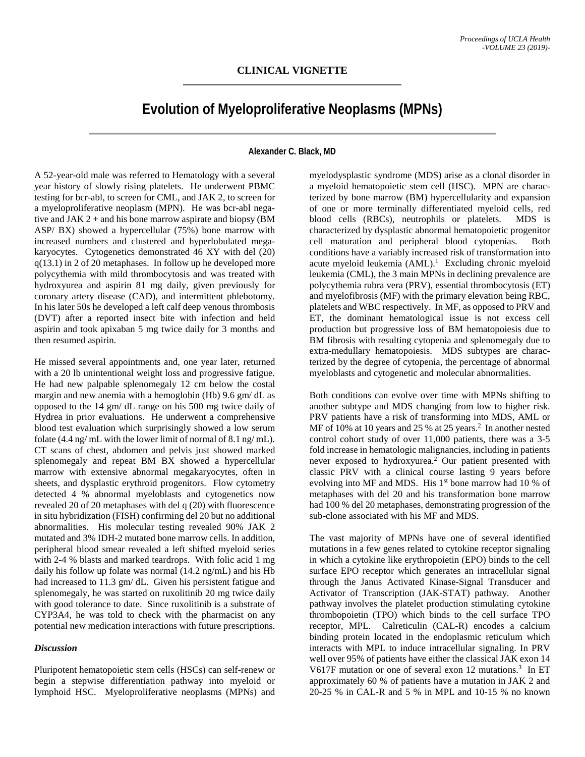## **Evolution of Myeloproliferative Neoplasms (MPNs)**

## **Alexander C. Black, MD**

A 52-year-old male was referred to Hematology with a several year history of slowly rising platelets. He underwent PBMC testing for bcr-abl, to screen for CML, and JAK 2, to screen for a myeloproliferative neoplasm (MPN). He was bcr-abl negative and JAK  $2 +$  and his bone marrow aspirate and biopsy (BM) ASP/ BX) showed a hypercellular (75%) bone marrow with increased numbers and clustered and hyperlobulated megakaryocytes. Cytogenetics demonstrated 46 XY with del (20) q(13.1) in 2 of 20 metaphases. In follow up he developed more polycythemia with mild thrombocytosis and was treated with hydroxyurea and aspirin 81 mg daily, given previously for coronary artery disease (CAD), and intermittent phlebotomy. In his later 50s he developed a left calf deep venous thrombosis (DVT) after a reported insect bite with infection and held aspirin and took apixaban 5 mg twice daily for 3 months and then resumed aspirin.

He missed several appointments and, one year later, returned with a 20 lb unintentional weight loss and progressive fatigue. He had new palpable splenomegaly 12 cm below the costal margin and new anemia with a hemoglobin (Hb) 9.6 gm/ dL as opposed to the 14 gm/ dL range on his 500 mg twice daily of Hydrea in prior evaluations. He underwent a comprehensive blood test evaluation which surprisingly showed a low serum folate (4.4 ng/ mL with the lower limit of normal of 8.1 ng/ mL). CT scans of chest, abdomen and pelvis just showed marked splenomegaly and repeat BM BX showed a hypercellular marrow with extensive abnormal megakaryocytes, often in sheets, and dysplastic erythroid progenitors. Flow cytometry detected 4 % abnormal myeloblasts and cytogenetics now revealed 20 of 20 metaphases with del q (20) with fluorescence in situ hybridization (FISH) confirming del 20 but no additional abnormalities. His molecular testing revealed 90% JAK 2 mutated and 3% IDH-2 mutated bone marrow cells. In addition, peripheral blood smear revealed a left shifted myeloid series with 2-4 % blasts and marked teardrops. With folic acid 1 mg daily his follow up folate was normal (14.2 ng/mL) and his Hb had increased to 11.3 gm/ dL. Given his persistent fatigue and splenomegaly, he was started on ruxolitinib 20 mg twice daily with good tolerance to date. Since ruxolitinib is a substrate of CYP3A4, he was told to check with the pharmacist on any potential new medication interactions with future prescriptions.

## *Discussion*

Pluripotent hematopoietic stem cells (HSCs) can self-renew or begin a stepwise differentiation pathway into myeloid or lymphoid HSC. Myeloproliferative neoplasms (MPNs) and

myelodysplastic syndrome (MDS) arise as a clonal disorder in a myeloid hematopoietic stem cell (HSC). MPN are characterized by bone marrow (BM) hypercellularity and expansion of one or more terminally differentiated myeloid cells, red blood cells (RBCs), neutrophils or platelets. MDS is characterized by dysplastic abnormal hematopoietic progenitor cell maturation and peripheral blood cytopenias. Both conditions have a variably increased risk of transformation into acute myeloid leukemia (AML). 1 Excluding chronic myeloid leukemia (CML), the 3 main MPNs in declining prevalence are polycythemia rubra vera (PRV), essential thrombocytosis (ET) and myelofibrosis (MF) with the primary elevation being RBC, platelets and WBC respectively. In MF, as opposed to PRV and ET, the dominant hematological issue is not excess cell production but progressive loss of BM hematopoiesis due to BM fibrosis with resulting cytopenia and splenomegaly due to extra-medullary hematopoiesis. MDS subtypes are characterized by the degree of cytopenia, the percentage of abnormal myeloblasts and cytogenetic and molecular abnormalities.

Both conditions can evolve over time with MPNs shifting to another subtype and MDS changing from low to higher risk. PRV patients have a risk of transforming into MDS, AML or MF of 10% at 10 years and 25 % at 25 years. 2 In another nested control cohort study of over 11,000 patients, there was a 3-5 fold increase in hematologic malignancies, including in patients never exposed to hydroxyurea. <sup>2</sup> Our patient presented with classic PRV with a clinical course lasting 9 years before evolving into MF and MDS. His 1<sup>st</sup> bone marrow had 10 % of metaphases with del 20 and his transformation bone marrow had 100 % del 20 metaphases, demonstrating progression of the sub-clone associated with his MF and MDS.

The vast majority of MPNs have one of several identified mutations in a few genes related to cytokine receptor signaling in which a cytokine like erythropoietin (EPO) binds to the cell surface EPO receptor which generates an intracellular signal through the Janus Activated Kinase-Signal Transducer and Activator of Transcription (JAK-STAT) pathway. Another pathway involves the platelet production stimulating cytokine thrombopoietin (TPO) which binds to the cell surface TPO receptor, MPL. Calreticulin (CAL-R) encodes a calcium binding protein located in the endoplasmic reticulum which interacts with MPL to induce intracellular signaling. In PRV well over 95% of patients have either the classical JAK exon 14 V617F mutation or one of several exon 12 mutations.<sup>3</sup> In ET approximately 60 % of patients have a mutation in JAK 2 and 20-25 % in CAL-R and 5 % in MPL and 10-15 % no known